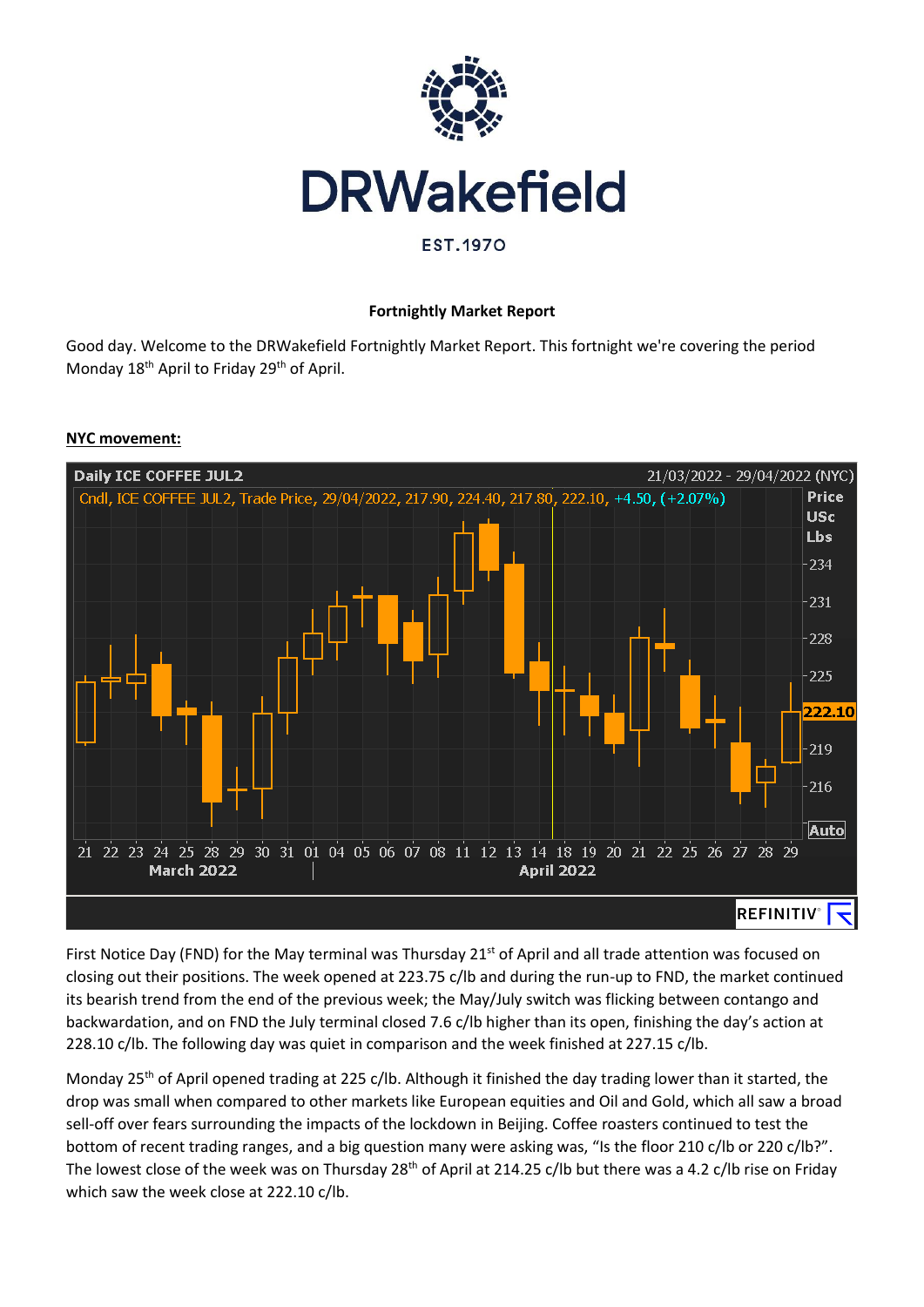

# **Fortnightly Market Report**

Good day. Welcome to the DRWakefield Fortnightly Market Report. This fortnight we're covering the period Monday 18<sup>th</sup> April to Friday 29<sup>th</sup> of April.

# **Daily ICE COFFEE JUL2** 21/03/2022 - 29/04/2022 (NYC) Cndl, ICE COFFEE JUL2, Trade Price, 29/04/2022, 217.90, 224.40, 217.80, 222.10, +4.50, (+2.07%) **Price USc** Lbs 234 231 228 225  $22.10$ 219 216 **Auto** 21 22 23 24 25 28 29 30 31 01 04 05 06 07 08 11 12 13 14 18 19 20 21 22 25 26 27 28 29 **March 2022 April 2022 REFINITIV**<sup>®</sup>

**NYC movement:**

First Notice Day (FND) for the May terminal was Thursday 21<sup>st</sup> of April and all trade attention was focused on closing out their positions. The week opened at 223.75 c/lb and during the run-up to FND, the market continued its bearish trend from the end of the previous week; the May/July switch was flicking between contango and backwardation, and on FND the July terminal closed 7.6 c/lb higher than its open, finishing the day's action at 228.10 c/lb. The following day was quiet in comparison and the week finished at 227.15 c/lb.

Monday 25<sup>th</sup> of April opened trading at 225 c/lb. Although it finished the day trading lower than it started, the drop was small when compared to other markets like European equities and Oil and Gold, which all saw a broad sell-off over fears surrounding the impacts of the lockdown in Beijing. Coffee roasters continued to test the bottom of recent trading ranges, and a big question many were asking was, "Is the floor 210 c/lb or 220 c/lb?". The lowest close of the week was on Thursday 28<sup>th</sup> of April at 214.25 c/lb but there was a 4.2 c/lb rise on Friday which saw the week close at 222.10 c/lb.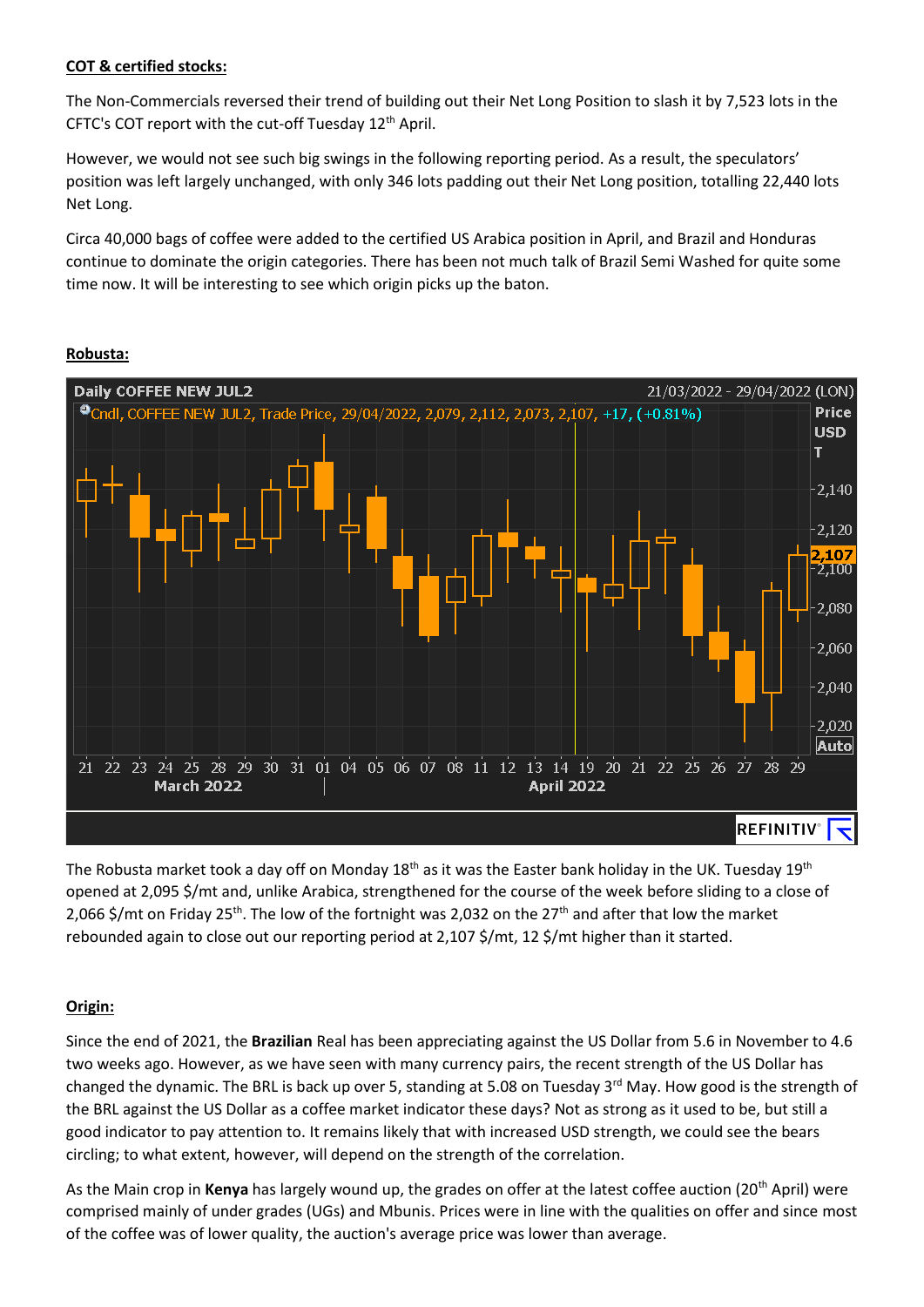## **COT & certified stocks:**

The Non-Commercials reversed their trend of building out their Net Long Position to slash it by 7,523 lots in the CFTC's COT report with the cut-off Tuesday 12<sup>th</sup> April.

However, we would not see such big swings in the following reporting period. As a result, the speculators' position was left largely unchanged, with only 346 lots padding out their Net Long position, totalling 22,440 lots Net Long.

Circa 40,000 bags of coffee were added to the certified US Arabica position in April, and Brazil and Honduras continue to dominate the origin categories. There has been not much talk of Brazil Semi Washed for quite some time now. It will be interesting to see which origin picks up the baton.



#### **Robusta:**

The Robusta market took a day off on Monday 18<sup>th</sup> as it was the Easter bank holiday in the UK. Tuesday 19<sup>th</sup> opened at 2,095 \$/mt and, unlike Arabica, strengthened for the course of the week before sliding to a close of 2.066 \$/mt on Friday 25<sup>th</sup>. The low of the fortnight was 2.032 on the 27<sup>th</sup> and after that low the market rebounded again to close out our reporting period at 2,107 \$/mt, 12 \$/mt higher than it started.

## **Origin:**

Since the end of 2021, the **Brazilian** Real has been appreciating against the US Dollar from 5.6 in November to 4.6 two weeks ago. However, as we have seen with many currency pairs, the recent strength of the US Dollar has changed the dynamic. The BRL is back up over 5, standing at 5.08 on Tuesday 3<sup>rd</sup> May. How good is the strength of the BRL against the US Dollar as a coffee market indicator these days? Not as strong as it used to be, but still a good indicator to pay attention to. It remains likely that with increased USD strength, we could see the bears circling; to what extent, however, will depend on the strength of the correlation.

As the Main crop in **Kenya** has largely wound up, the grades on offer at the latest coffee auction (20th April) were comprised mainly of under grades (UGs) and Mbunis. Prices were in line with the qualities on offer and since most of the coffee was of lower quality, the auction's average price was lower than average.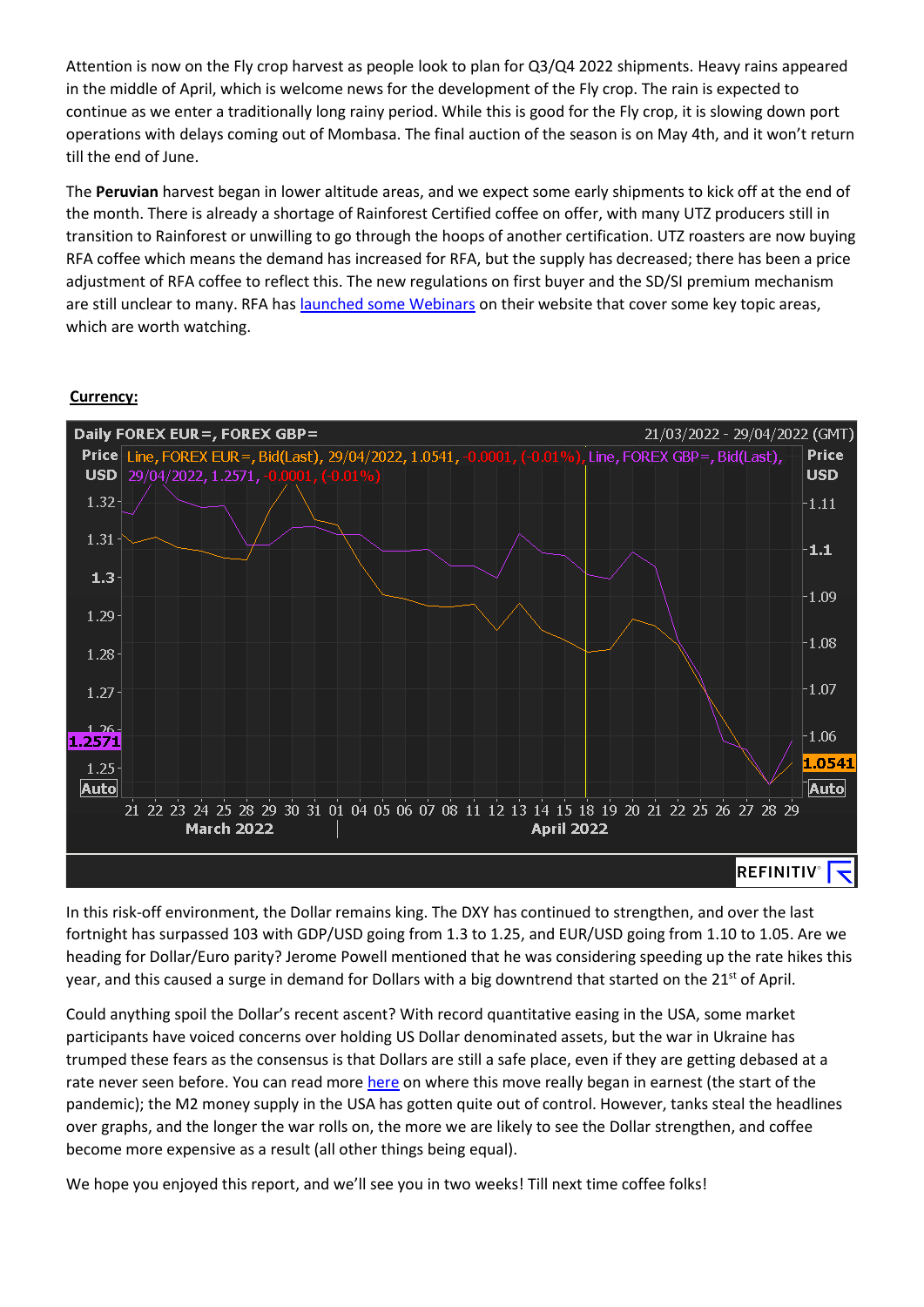Attention is now on the Fly crop harvest as people look to plan for Q3/Q4 2022 shipments. Heavy rains appeared in the middle of April, which is welcome news for the development of the Fly crop. The rain is expected to continue as we enter a traditionally long rainy period. While this is good for the Fly crop, it is slowing down port operations with delays coming out of Mombasa. The final auction of the season is on May 4th, and it won't return till the end of June.

The **Peruvian** harvest began in lower altitude areas, and we expect some early shipments to kick off at the end of the month. There is already a shortage of Rainforest Certified coffee on offer, with many UTZ producers still in transition to Rainforest or unwilling to go through the hoops of another certification. UTZ roasters are now buying RFA coffee which means the demand has increased for RFA, but the supply has decreased; there has been a price adjustment of RFA coffee to reflect this. The new regulations on first buyer and the SD/SI premium mechanism are still unclear to many. RFA has [launched some Webinars](https://www.rainforest-alliance.org/events/) on their website that cover some key topic areas, which are worth watching.

#### **Currency:**



In this risk-off environment, the Dollar remains king. The DXY has continued to strengthen, and over the last fortnight has surpassed 103 with GDP/USD going from 1.3 to 1.25, and EUR/USD going from 1.10 to 1.05. Are we heading for Dollar/Euro parity? Jerome Powell mentioned that he was considering speeding up the rate hikes this year, and this caused a surge in demand for Dollars with a big downtrend that started on the 21<sup>st</sup> of April.

Could anything spoil the Dollar's recent ascent? With record quantitative easing in the USA, some market participants have voiced concerns over holding US Dollar denominated assets, but the war in Ukraine has trumped these fears as the consensus is that Dollars are still a safe place, even if they are getting debased at a rate never seen before. You can read mor[e here](https://www.cnbc.com/2020/08/05/the-ballooning-money-supply-may-be-the-key-to-unlocking-inflation-in-the-us.html) on where this move really began in earnest (the start of the pandemic); the M2 money supply in the USA has gotten quite out of control. However, tanks steal the headlines over graphs, and the longer the war rolls on, the more we are likely to see the Dollar strengthen, and coffee become more expensive as a result (all other things being equal).

We hope you enjoyed this report, and we'll see you in two weeks! Till next time coffee folks!